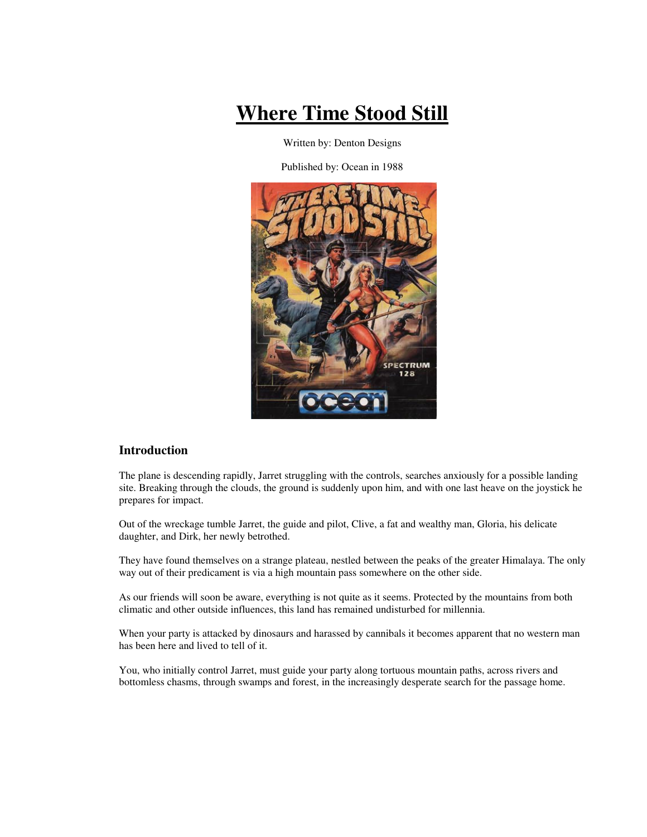# **Where Time Stood Still**

Written by: Denton Designs

Published by: Ocean in 1988



# **Introduction**

The plane is descending rapidly, Jarret struggling with the controls, searches anxiously for a possible landing site. Breaking through the clouds, the ground is suddenly upon him, and with one last heave on the joystick he prepares for impact.

Out of the wreckage tumble Jarret, the guide and pilot, Clive, a fat and wealthy man, Gloria, his delicate daughter, and Dirk, her newly betrothed.

They have found themselves on a strange plateau, nestled between the peaks of the greater Himalaya. The only way out of their predicament is via a high mountain pass somewhere on the other side.

As our friends will soon be aware, everything is not quite as it seems. Protected by the mountains from both climatic and other outside influences, this land has remained undisturbed for millennia.

When your party is attacked by dinosaurs and harassed by cannibals it becomes apparent that no western man has been here and lived to tell of it.

You, who initially control Jarret, must guide your party along tortuous mountain paths, across rivers and bottomless chasms, through swamps and forest, in the increasingly desperate search for the passage home.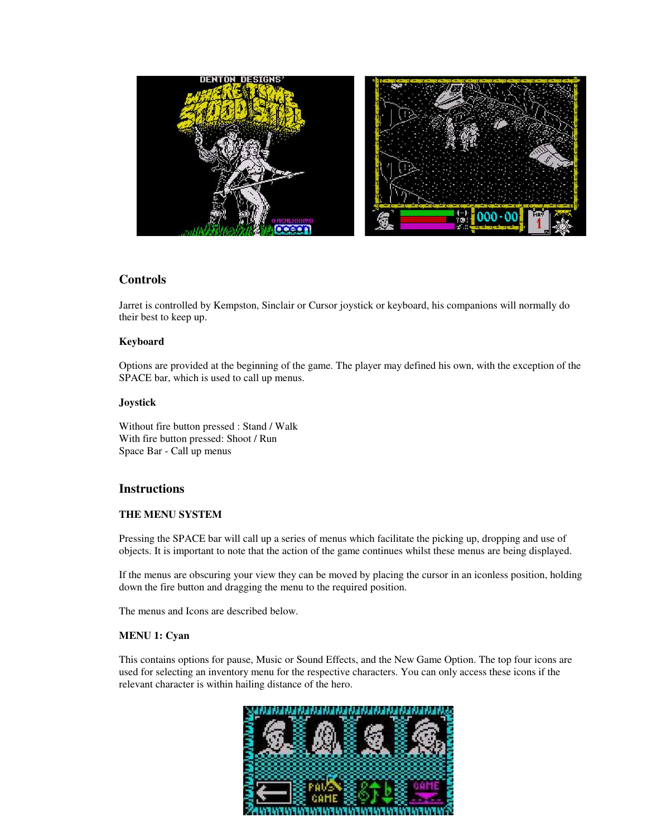

## **Controls**

Jarret is controlled by Kempston, Sinclair or Cursor joystick or keyboard, his companions will normally do their best to keep up.

#### **Keyboard**

Options are provided at the beginning of the game. The player may defined his own, with the exception of the SPACE bar, which is used to call up menus.

#### **Joystick**

Without fire button pressed : Stand / Walk With fire button pressed: Shoot / Run Space Bar - Call up menus

#### **Instructions**

#### **THE MENU SYSTEM**

Pressing the SPACE bar will call up a series of menus which facilitate the picking up, dropping and use of objects. It is important to note that the action of the game continues whilst these menus are being displayed.

If the menus are obscuring your view they can be moved by placing the cursor in an iconless position, holding down the fire button and dragging the menu to the required position.

The menus and Icons are described below.

#### **MENU 1: Cyan**

This contains options for pause, Music or Sound Effects, and the New Game Option. The top four icons are used for selecting an inventory menu for the respective characters. You can only access these icons if the relevant character is within hailing distance of the hero.

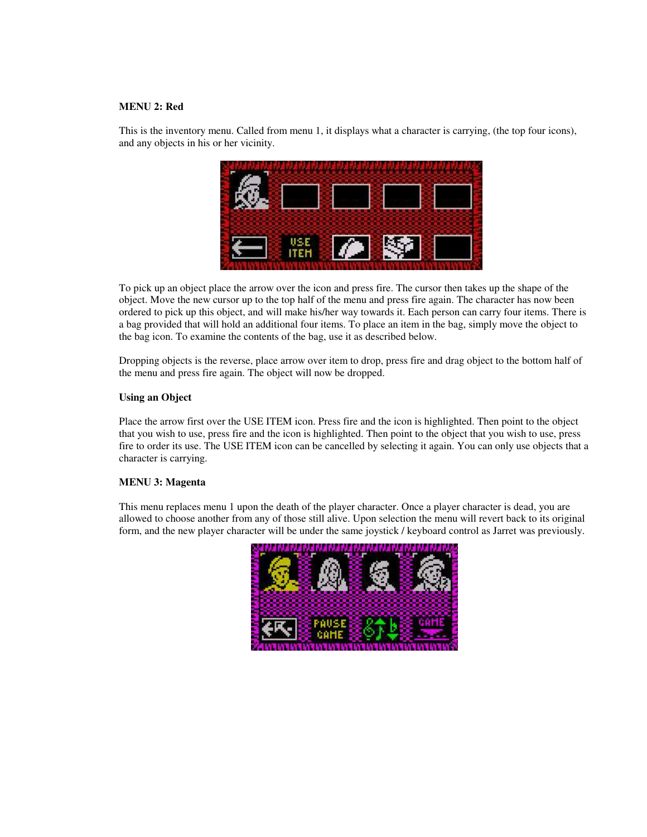#### **MENU 2: Red**

This is the inventory menu. Called from menu 1, it displays what a character is carrying, (the top four icons), and any objects in his or her vicinity.



To pick up an object place the arrow over the icon and press fire. The cursor then takes up the shape of the object. Move the new cursor up to the top half of the menu and press fire again. The character has now been ordered to pick up this object, and will make his/her way towards it. Each person can carry four items. There is a bag provided that will hold an additional four items. To place an item in the bag, simply move the object to the bag icon. To examine the contents of the bag, use it as described below.

Dropping objects is the reverse, place arrow over item to drop, press fire and drag object to the bottom half of the menu and press fire again. The object will now be dropped.

#### **Using an Object**

Place the arrow first over the USE ITEM icon. Press fire and the icon is highlighted. Then point to the object that you wish to use, press fire and the icon is highlighted. Then point to the object that you wish to use, press fire to order its use. The USE ITEM icon can be cancelled by selecting it again. You can only use objects that a character is carrying.

#### **MENU 3: Magenta**

This menu replaces menu 1 upon the death of the player character. Once a player character is dead, you are allowed to choose another from any of those still alive. Upon selection the menu will revert back to its original form, and the new player character will be under the same joystick / keyboard control as Jarret was previously.

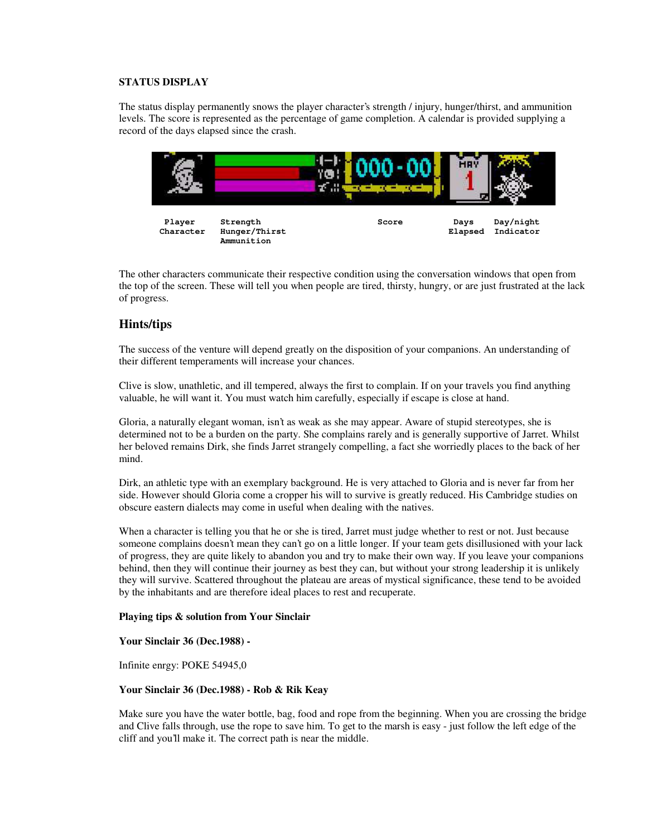#### **STATUS DISPLAY**

The status display permanently snows the player character's strength / injury, hunger/thirst, and ammunition levels. The score is represented as the percentage of game completion. A calendar is provided supplying a record of the days elapsed since the crash.



The other characters communicate their respective condition using the conversation windows that open from the top of the screen. These will tell you when people are tired, thirsty, hungry, or are just frustrated at the lack of progress.

### **Hints/tips**

The success of the venture will depend greatly on the disposition of your companions. An understanding of their different temperaments will increase your chances.

Clive is slow, unathletic, and ill tempered, always the first to complain. If on your travels you find anything valuable, he will want it. You must watch him carefully, especially if escape is close at hand.

Gloria, a naturally elegant woman, isn't as weak as she may appear. Aware of stupid stereotypes, she is determined not to be a burden on the party. She complains rarely and is generally supportive of Jarret. Whilst her beloved remains Dirk, she finds Jarret strangely compelling, a fact she worriedly places to the back of her mind.

Dirk, an athletic type with an exemplary background. He is very attached to Gloria and is never far from her side. However should Gloria come a cropper his will to survive is greatly reduced. His Cambridge studies on obscure eastern dialects may come in useful when dealing with the natives.

When a character is telling you that he or she is tired, Jarret must judge whether to rest or not. Just because someone complains doesn't mean they can't go on a little longer. If your team gets disillusioned with your lack of progress, they are quite likely to abandon you and try to make their own way. If you leave your companions behind, then they will continue their journey as best they can, but without your strong leadership it is unlikely they will survive. Scattered throughout the plateau are areas of mystical significance, these tend to be avoided by the inhabitants and are therefore ideal places to rest and recuperate.

#### **Playing tips & solution from Your Sinclair**

#### **Your Sinclair 36 (Dec.1988) -**

Infinite enrgy: POKE 54945,0

#### **Your Sinclair 36 (Dec.1988) - Rob & Rik Keay**

Make sure you have the water bottle, bag, food and rope from the beginning. When you are crossing the bridge and Clive falls through, use the rope to save him. To get to the marsh is easy - just follow the left edge of the cliff and you'll make it. The correct path is near the middle.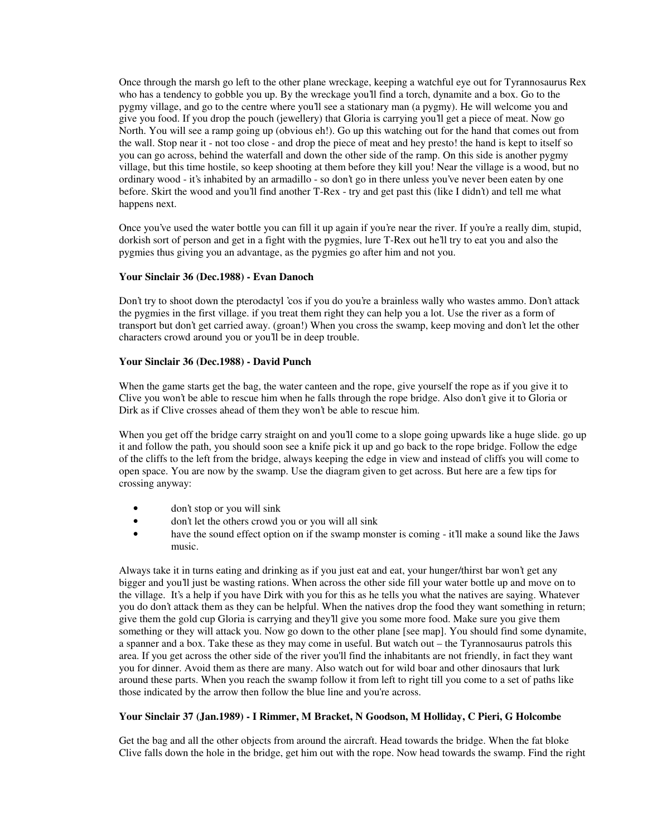Once through the marsh go left to the other plane wreckage, keeping a watchful eye out for Tyrannosaurus Rex who has a tendency to gobble you up. By the wreckage you'll find a torch, dynamite and a box. Go to the pygmy village, and go to the centre where you'll see a stationary man (a pygmy). He will welcome you and give you food. If you drop the pouch (jewellery) that Gloria is carrying you'll get a piece of meat. Now go North. You will see a ramp going up (obvious eh!). Go up this watching out for the hand that comes out from the wall. Stop near it - not too close - and drop the piece of meat and hey presto! the hand is kept to itself so you can go across, behind the waterfall and down the other side of the ramp. On this side is another pygmy village, but this time hostile, so keep shooting at them before they kill you! Near the village is a wood, but no ordinary wood - it's inhabited by an armadillo - so don't go in there unless you've never been eaten by one before. Skirt the wood and you'll find another T-Rex - try and get past this (like I didn't) and tell me what happens next.

Once you've used the water bottle you can fill it up again if you're near the river. If you're a really dim, stupid, dorkish sort of person and get in a fight with the pygmies, lure T-Rex out he'll try to eat you and also the pygmies thus giving you an advantage, as the pygmies go after him and not you.

#### **Your Sinclair 36 (Dec.1988) - Evan Danoch**

Don't try to shoot down the pterodactyl 'cos if you do you're a brainless wally who wastes ammo. Don't attack the pygmies in the first village. if you treat them right they can help you a lot. Use the river as a form of transport but don't get carried away. (groan!) When you cross the swamp, keep moving and don't let the other characters crowd around you or you'll be in deep trouble.

#### **Your Sinclair 36 (Dec.1988) - David Punch**

When the game starts get the bag, the water canteen and the rope, give yourself the rope as if you give it to Clive you won't be able to rescue him when he falls through the rope bridge. Also don't give it to Gloria or Dirk as if Clive crosses ahead of them they won't be able to rescue him.

When you get off the bridge carry straight on and you'll come to a slope going upwards like a huge slide. go up it and follow the path, you should soon see a knife pick it up and go back to the rope bridge. Follow the edge of the cliffs to the left from the bridge, always keeping the edge in view and instead of cliffs you will come to open space. You are now by the swamp. Use the diagram given to get across. But here are a few tips for crossing anyway:

- don't stop or you will sink
- don't let the others crowd you or you will all sink
- have the sound effect option on if the swamp monster is coming it'll make a sound like the Jaws music.

Always take it in turns eating and drinking as if you just eat and eat, your hunger/thirst bar won't get any bigger and you'll just be wasting rations. When across the other side fill your water bottle up and move on to the village. It's a help if you have Dirk with you for this as he tells you what the natives are saying. Whatever you do don't attack them as they can be helpful. When the natives drop the food they want something in return; give them the gold cup Gloria is carrying and they'll give you some more food. Make sure you give them something or they will attack you. Now go down to the other plane [see map]. You should find some dynamite, a spanner and a box. Take these as they may come in useful. But watch out – the Tyrannosaurus patrols this area. If you get across the other side of the river you'll find the inhabitants are not friendly, in fact they want you for dinner. Avoid them as there are many. Also watch out for wild boar and other dinosaurs that lurk around these parts. When you reach the swamp follow it from left to right till you come to a set of paths like those indicated by the arrow then follow the blue line and you're across.

#### **Your Sinclair 37 (Jan.1989) - I Rimmer, M Bracket, N Goodson, M Holliday, C Pieri, G Holcombe**

Get the bag and all the other objects from around the aircraft. Head towards the bridge. When the fat bloke Clive falls down the hole in the bridge, get him out with the rope. Now head towards the swamp. Find the right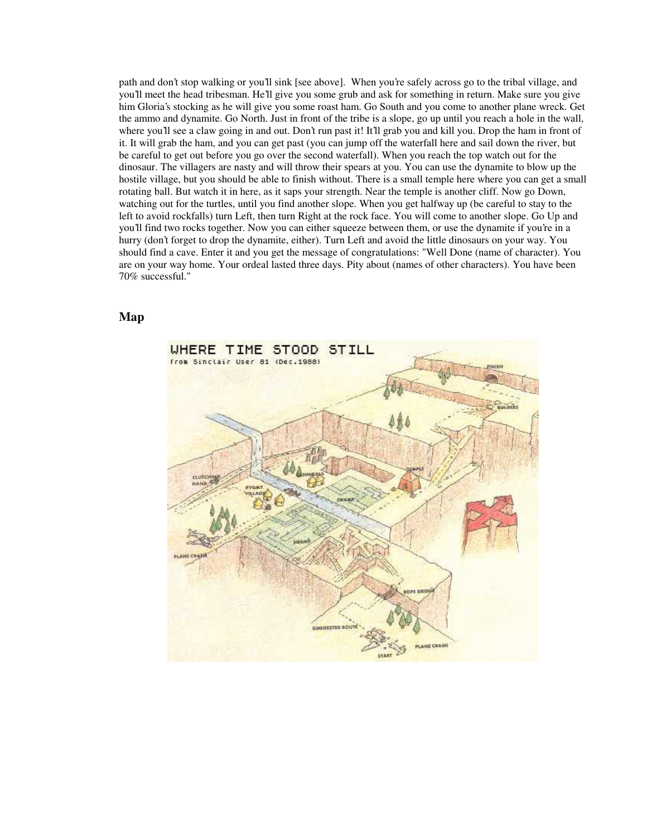path and don't stop walking or you'll sink [see above]. When you're safely across go to the tribal village, and you'll meet the head tribesman. He'll give you some grub and ask for something in return. Make sure you give him Gloria's stocking as he will give you some roast ham. Go South and you come to another plane wreck. Get the ammo and dynamite. Go North. Just in front of the tribe is a slope, go up until you reach a hole in the wall, where you'll see a claw going in and out. Don't run past it! It'll grab you and kill you. Drop the ham in front of it. It will grab the ham, and you can get past (you can jump off the waterfall here and sail down the river, but be careful to get out before you go over the second waterfall). When you reach the top watch out for the dinosaur. The villagers are nasty and will throw their spears at you. You can use the dynamite to blow up the hostile village, but you should be able to finish without. There is a small temple here where you can get a small rotating ball. But watch it in here, as it saps your strength. Near the temple is another cliff. Now go Down, watching out for the turtles, until you find another slope. When you get halfway up (be careful to stay to the left to avoid rockfalls) turn Left, then turn Right at the rock face. You will come to another slope. Go Up and you'll find two rocks together. Now you can either squeeze between them, or use the dynamite if you're in a hurry (don't forget to drop the dynamite, either). Turn Left and avoid the little dinosaurs on your way. You should find a cave. Enter it and you get the message of congratulations: "Well Done (name of character). You are on your way home. Your ordeal lasted three days. Pity about (names of other characters). You have been 70% successful."

**Map**